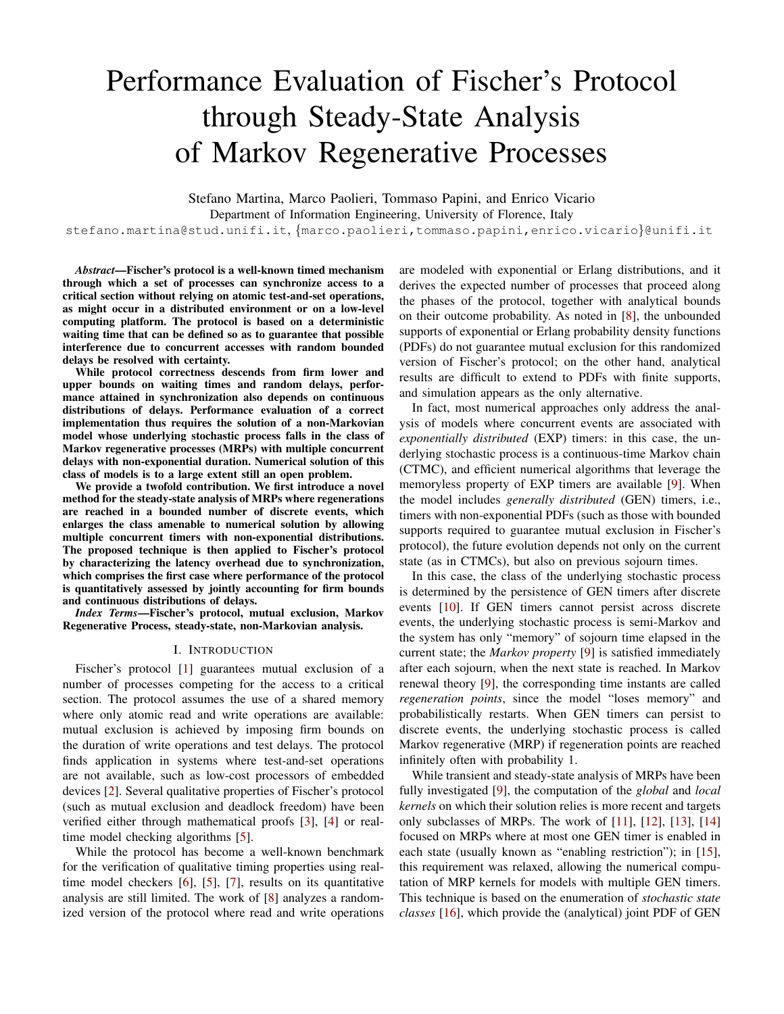# Performance Evaluation of Fischer's Protocol through Steady-State Analysis of Markov Regenerative Processes

Stefano Martina, Marco Paolieri, Tommaso Papini, and Enrico Vicario

Department of Information Engineering, University of Florence, Italy

stefano.martina@stud.unifi.it, {marco.paolieri,tommaso.papini,enrico.vicario}@unifi.it

*Abstract*—Fischer's protocol is a well-known timed mechanism through which a set of processes can synchronize access to a critical section without relying on atomic test-and-set operations, as might occur in a distributed environment or on a low-level computing platform. The protocol is based on a deterministic waiting time that can be defined so as to guarantee that possible interference due to concurrent accesses with random bounded delays be resolved with certainty.

While protocol correctness descends from firm lower and upper bounds on waiting times and random delays, performance attained in synchronization also depends on continuous distributions of delays. Performance evaluation of a correct implementation thus requires the solution of a non-Markovian model whose underlying stochastic process falls in the class of Markov regenerative processes (MRPs) with multiple concurrent delays with non-exponential duration. Numerical solution of this class of models is to a large extent still an open problem.

We provide a twofold contribution. We first introduce a novel method for the steady-state analysis of MRPs where regenerations are reached in a bounded number of discrete events, which enlarges the class amenable to numerical solution by allowing multiple concurrent timers with non-exponential distributions. The proposed technique is then applied to Fischer's protocol by characterizing the latency overhead due to synchronization, which comprises the first case where performance of the protocol is quantitatively assessed by jointly accounting for firm bounds and continuous distributions of delays.

*Index Terms*—Fischer's protocol, mutual exclusion, Markov Regenerative Process, steady-state, non-Markovian analysis.

### I. INTRODUCTION

Fischer's protocol [\[1\]](#page-5-0) guarantees mutual exclusion of a number of processes competing for the access to a critical section. The protocol assumes the use of a shared memory where only atomic read and write operations are available: mutual exclusion is achieved by imposing firm bounds on the duration of write operations and test delays. The protocol finds application in systems where test-and-set operations are not available, such as low-cost processors of embedded devices [\[2\]](#page-5-1). Several qualitative properties of Fischer's protocol (such as mutual exclusion and deadlock freedom) have been verified either through mathematical proofs [\[3\]](#page-5-2), [\[4\]](#page-5-3) or realtime model checking algorithms [\[5\]](#page-5-4).

While the protocol has become a well-known benchmark for the verification of qualitative timing properties using realtime model checkers [\[6\]](#page-5-5), [\[5\]](#page-5-4), [\[7\]](#page-5-6), results on its quantitative analysis are still limited. The work of [\[8\]](#page-5-7) analyzes a randomized version of the protocol where read and write operations are modeled with exponential or Erlang distributions, and it derives the expected number of processes that proceed along the phases of the protocol, together with analytical bounds on their outcome probability. As noted in [\[8\]](#page-5-7), the unbounded supports of exponential or Erlang probability density functions (PDFs) do not guarantee mutual exclusion for this randomized version of Fischer's protocol; on the other hand, analytical results are difficult to extend to PDFs with finite supports, and simulation appears as the only alternative.

In fact, most numerical approaches only address the analysis of models where concurrent events are associated with *exponentially distributed* (EXP) timers: in this case, the underlying stochastic process is a continuous-time Markov chain (CTMC), and efficient numerical algorithms that leverage the memoryless property of EXP timers are available [\[9\]](#page-5-8). When the model includes *generally distributed* (GEN) timers, i.e., timers with non-exponential PDFs (such as those with bounded supports required to guarantee mutual exclusion in Fischer's protocol), the future evolution depends not only on the current state (as in CTMCs), but also on previous sojourn times.

In this case, the class of the underlying stochastic process is determined by the persistence of GEN timers after discrete events [\[10\]](#page-5-9). If GEN timers cannot persist across discrete events, the underlying stochastic process is semi-Markov and the system has only "memory" of sojourn time elapsed in the current state; the *Markov property* [\[9\]](#page-5-8) is satisfied immediately after each sojourn, when the next state is reached. In Markov renewal theory [\[9\]](#page-5-8), the corresponding time instants are called *regeneration points*, since the model "loses memory" and probabilistically restarts. When GEN timers can persist to discrete events, the underlying stochastic process is called Markov regenerative (MRP) if regeneration points are reached infinitely often with probability 1.

While transient and steady-state analysis of MRPs have been fully investigated [\[9\]](#page-5-8), the computation of the *global* and *local kernels* on which their solution relies is more recent and targets only subclasses of MRPs. The work of [\[11\]](#page-5-10), [\[12\]](#page-5-11), [\[13\]](#page-5-12), [\[14\]](#page-5-13) focused on MRPs where at most one GEN timer is enabled in each state (usually known as "enabling restriction"); in [\[15\]](#page-5-14), this requirement was relaxed, allowing the numerical computation of MRP kernels for models with multiple GEN timers. This technique is based on the enumeration of *stochastic state classes* [\[16\]](#page-5-15), which provide the (analytical) joint PDF of GEN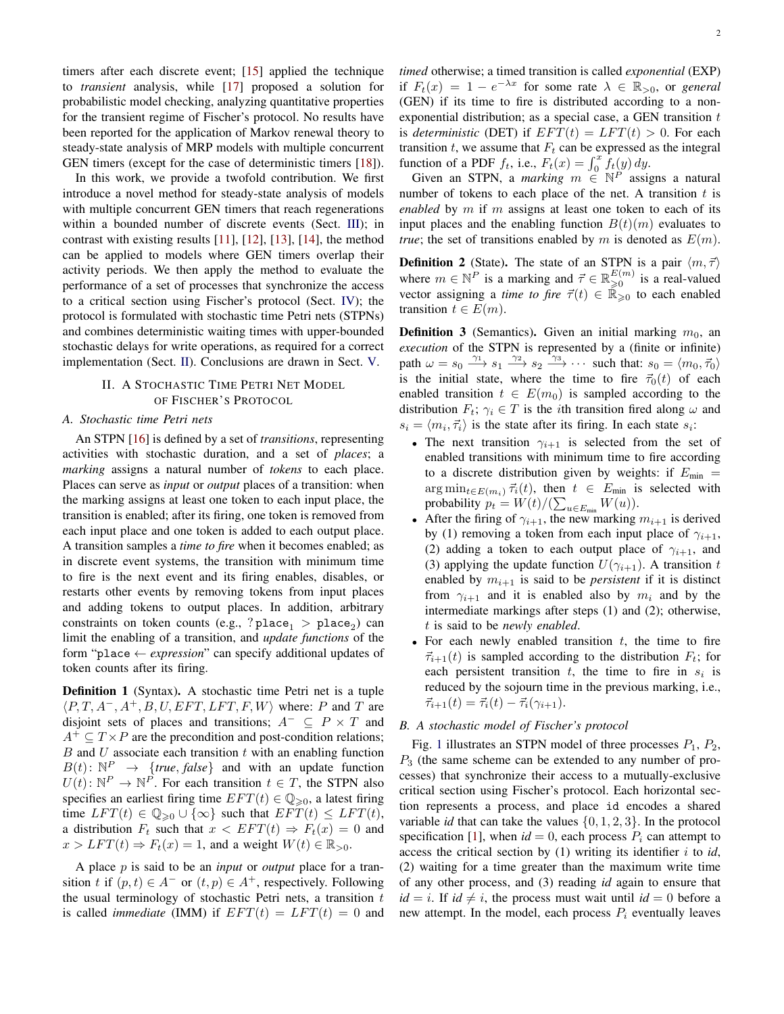timers after each discrete event; [\[15\]](#page-5-14) applied the technique to *transient* analysis, while [\[17\]](#page-5-16) proposed a solution for probabilistic model checking, analyzing quantitative properties for the transient regime of Fischer's protocol. No results have been reported for the application of Markov renewal theory to steady-state analysis of MRP models with multiple concurrent GEN timers (except for the case of deterministic timers [\[18\]](#page-5-17)).

In this work, we provide a twofold contribution. We first introduce a novel method for steady-state analysis of models with multiple concurrent GEN timers that reach regenerations within a bounded number of discrete events (Sect. [III\)](#page-2-0); in contrast with existing results [\[11\]](#page-5-10), [\[12\]](#page-5-11), [\[13\]](#page-5-12), [\[14\]](#page-5-13), the method can be applied to models where GEN timers overlap their activity periods. We then apply the method to evaluate the performance of a set of processes that synchronize the access to a critical section using Fischer's protocol (Sect. [IV\)](#page-3-0); the protocol is formulated with stochastic time Petri nets (STPNs) and combines deterministic waiting times with upper-bounded stochastic delays for write operations, as required for a correct implementation (Sect. [II\)](#page-1-0). Conclusions are drawn in Sect. [V.](#page-5-18)

## <span id="page-1-0"></span>II. A STOCHASTIC TIME PETRI NET MODEL OF FISCHER'S PROTOCOL

## *A. Stochastic time Petri nets*

An STPN [\[16\]](#page-5-15) is defined by a set of *transitions*, representing activities with stochastic duration, and a set of *places*; a *marking* assigns a natural number of *tokens* to each place. Places can serve as *input* or *output* places of a transition: when the marking assigns at least one token to each input place, the transition is enabled; after its firing, one token is removed from each input place and one token is added to each output place. A transition samples a *time to fire* when it becomes enabled; as in discrete event systems, the transition with minimum time to fire is the next event and its firing enables, disables, or restarts other events by removing tokens from input places and adding tokens to output places. In addition, arbitrary constraints on token counts (e.g., ? $place_1 > place_2)$  can limit the enabling of a transition, and *update functions* of the form "place ← *expression*" can specify additional updates of token counts after its firing.

Definition 1 (Syntax). A stochastic time Petri net is a tuple  $\langle P, T, A^-, A^+, B, U, EFT, LFT, F, W \rangle$  where: P and T are disjoint sets of places and transitions;  $A^- \subseteq P \times T$  and  $A^+ \subseteq T \times P$  are the precondition and post-condition relations;  $B$  and  $U$  associate each transition  $t$  with an enabling function  $B(t): \mathbb{N}^P \rightarrow \{true, false\}$  and with an update function  $U(t): \mathbb{N}^P \to \mathbb{N}^P$ . For each transition  $t \in T$ , the STPN also specifies an earliest firing time  $EFT(t) \in \mathbb{Q}_{\geq 0}$ , a latest firing time  $LFT(t) \in \mathbb{Q}_{\geqslant 0} \cup \{\infty\}$  such that  $EFT(t) \leq LFT(t)$ , a distribution  $F_t$  such that  $x < EFT(t) \Rightarrow F_t(x) = 0$  and  $x > LFT(t) \Rightarrow F_t(x) = 1$ , and a weight  $W(t) \in \mathbb{R}_{>0}$ .

A place p is said to be an *input* or *output* place for a transition t if  $(p, t) \in A^-$  or  $(t, p) \in A^+$ , respectively. Following the usual terminology of stochastic Petri nets, a transition  $t$ is called *immediate* (IMM) if  $EFT(t) = LFT(t) = 0$  and *timed* otherwise; a timed transition is called *exponential* (EXP) if  $F_t(x) = 1 - e^{-\lambda x}$  for some rate  $\lambda \in \mathbb{R}_{>0}$ , or *general* (GEN) if its time to fire is distributed according to a nonexponential distribution; as a special case, a GEN transition  $t$ is *deterministic* (DET) if  $EFT(t) = LFT(t) > 0$ . For each transition  $t$ , we assume that  $F_t$  can be expressed as the integral function of a PDF  $f_t$ , i.e.,  $F_t(x) = \int_0^x f_t(y) dy$ .

Given an STPN, a *marking*  $m \in \mathbb{N}^P$  assigns a natural number of tokens to each place of the net. A transition  $t$  is *enabled* by m if m assigns at least one token to each of its input places and the enabling function  $B(t)(m)$  evaluates to *true*; the set of transitions enabled by m is denoted as  $E(m)$ .

**Definition 2** (State). The state of an STPN is a pair  $\langle m, \vec{\tau} \rangle$ where  $m \in \mathbb{N}^P$  is a marking and  $\vec{\tau} \in \mathbb{R}_{\geqslant 0}^{E(m)}$  is a real-valued vector assigning a *time to fire*  $\vec{\tau}(t) \in \mathbb{R}_{\geqslant 0}^{\infty}$  to each enabled transition  $t \in E(m)$ .

**Definition 3** (Semantics). Given an initial marking  $m_0$ , an *execution* of the STPN is represented by a (finite or infinite) path  $\omega = s_0 \xrightarrow{\gamma_1} s_1 \xrightarrow{\gamma_2} s_2 \xrightarrow{\gamma_3} \cdots$  such that:  $s_0 = \langle m_0, \vec{\tau}_0 \rangle$ is the initial state, where the time to fire  $\vec{\tau}_0(t)$  of each enabled transition  $t \in E(m_0)$  is sampled according to the distribution  $F_t$ ;  $\gamma_i \in T$  is the *i*th transition fired along  $\omega$  and  $s_i = \langle m_i, \vec{\tau}_i \rangle$  is the state after its firing. In each state  $s_i$ :

- The next transition  $\gamma_{i+1}$  is selected from the set of enabled transitions with minimum time to fire according to a discrete distribution given by weights: if  $E_{\text{min}} =$  $\arg \min_{t \in E(m_i)} \vec{\tau_i}(t)$ , then  $t \in E_{\text{min}}$  is selected with probability  $p_t = W(t)/(\sum_{u \in E_{\text{min}}} W(u)).$
- After the firing of  $\gamma_{i+1}$ , the new marking  $m_{i+1}$  is derived by (1) removing a token from each input place of  $\gamma_{i+1}$ , (2) adding a token to each output place of  $\gamma_{i+1}$ , and (3) applying the update function  $U(\gamma_{i+1})$ . A transition t enabled by  $m_{i+1}$  is said to be *persistent* if it is distinct from  $\gamma_{i+1}$  and it is enabled also by  $m_i$  and by the intermediate markings after steps (1) and (2); otherwise, t is said to be *newly enabled*.
- For each newly enabled transition  $t$ , the time to fire  $\vec{\tau}_{i+1}(t)$  is sampled according to the distribution  $F_t$ ; for each persistent transition  $t$ , the time to fire in  $s_i$  is reduced by the sojourn time in the previous marking, i.e.,  $\vec{\tau}_{i+1}(t) = \vec{\tau}_i(t) - \vec{\tau}_i(\gamma_{i+1}).$

## *B. A stochastic model of Fischer's protocol*

Fig. [1](#page-2-1) illustrates an STPN model of three processes  $P_1$ ,  $P_2$ ,  $P_3$  (the same scheme can be extended to any number of processes) that synchronize their access to a mutually-exclusive critical section using Fischer's protocol. Each horizontal section represents a process, and place id encodes a shared variable *id* that can take the values  $\{0, 1, 2, 3\}$ . In the protocol specification [\[1\]](#page-5-0), when  $id = 0$ , each process  $P_i$  can attempt to access the critical section by  $(1)$  writing its identifier i to *id*, (2) waiting for a time greater than the maximum write time of any other process, and (3) reading *id* again to ensure that  $id = i$ . If  $id \neq i$ , the process must wait until  $id = 0$  before a new attempt. In the model, each process  $P_i$  eventually leaves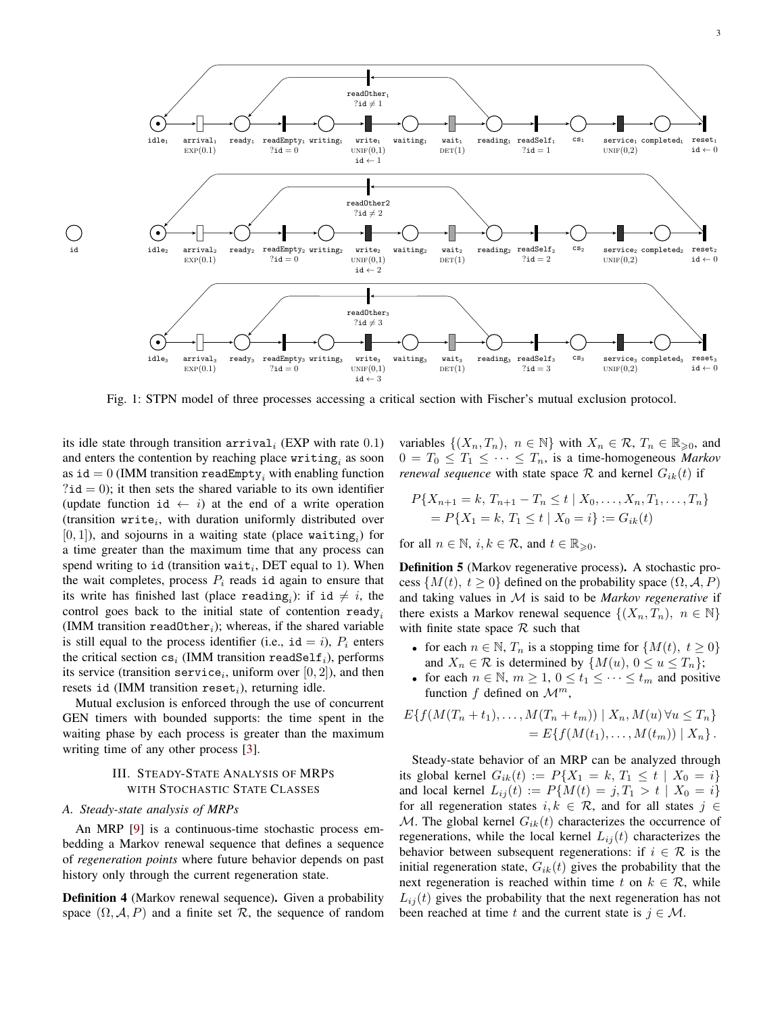<span id="page-2-1"></span>

Fig. 1: STPN model of three processes accessing a critical section with Fischer's mutual exclusion protocol.

its idle state through transition  $\text{arrival}_i$  (EXP with rate 0.1) and enters the contention by reaching place  $\texttt{writing}_i$  as soon as id = 0 (IMM transition readEmpty, with enabling function  $?id = 0$ ; it then sets the shared variable to its own identifier (update function id  $\leftarrow i$ ) at the end of a write operation (transition write<sub>i</sub>, with duration uniformly distributed over  $[0, 1]$ ), and sojourns in a waiting state (place waiting<sub>i</sub>) for a time greater than the maximum time that any process can spend writing to id (transition wait<sub>i</sub>, DET equal to 1). When the wait completes, process  $P_i$  reads id again to ensure that its write has finished last (place reading<sub>i</sub>): if id  $\neq i$ , the control goes back to the initial state of contention ready<sub>i</sub> (IMM transition readOther<sub>i</sub>); whereas, if the shared variable is still equal to the process identifier (i.e.,  $id = i$ ),  $P_i$  enters the critical section  $cs_i$  (IMM transition readSelf<sub>i</sub>), performs its service (transition service<sub>i</sub>, uniform over  $[0,2]$ ), and then resets id (IMM transition reset<sub>i</sub>), returning idle.

Mutual exclusion is enforced through the use of concurrent GEN timers with bounded supports: the time spent in the waiting phase by each process is greater than the maximum writing time of any other process [\[3\]](#page-5-2).

## III. STEADY-STATE ANALYSIS OF MRPS WITH STOCHASTIC STATE CLASSES

### <span id="page-2-0"></span>*A. Steady-state analysis of MRPs*

An MRP [\[9\]](#page-5-8) is a continuous-time stochastic process embedding a Markov renewal sequence that defines a sequence of *regeneration points* where future behavior depends on past history only through the current regeneration state.

Definition 4 (Markov renewal sequence). Given a probability space  $(\Omega, \mathcal{A}, P)$  and a finite set R, the sequence of random

variables  $\{(X_n, T_n), n \in \mathbb{N}\}\$  with  $X_n \in \mathcal{R}, T_n \in \mathbb{R}_{\geqslant 0}$ , and  $0 = T_0 \leq T_1 \leq \cdots \leq T_n$ , is a time-homogeneous *Markov renewal sequence* with state space  $\mathcal{R}$  and kernel  $G_{ik}(t)$  if

$$
P\{X_{n+1} = k, T_{n+1} - T_n \le t \mid X_0, \dots, X_n, T_1, \dots, T_n\}
$$
  
= 
$$
P\{X_1 = k, T_1 \le t \mid X_0 = i\} := G_{ik}(t)
$$

for all  $n \in \mathbb{N}$ ,  $i, k \in \mathcal{R}$ , and  $t \in \mathbb{R}_{\geqslant 0}$ .

Definition 5 (Markov regenerative process). A stochastic process  $\{M(t), t \geq 0\}$  defined on the probability space  $(\Omega, \mathcal{A}, P)$ and taking values in M is said to be *Markov regenerative* if there exists a Markov renewal sequence  $\{(X_n, T_n), n \in \mathbb{N}\}\$ with finite state space  $R$  such that

- for each  $n \in \mathbb{N}$ ,  $T_n$  is a stopping time for  $\{M(t), t \geq 0\}$ and  $X_n \in \mathcal{R}$  is determined by  $\{M(u), 0 \le u \le T_n\};$
- for each  $n \in \mathbb{N}$ ,  $m \geq 1$ ,  $0 \leq t_1 \leq \cdots \leq t_m$  and positive function f defined on  $\mathcal{M}^m$ ,

$$
E\{f(M(T_n + t_1), \dots, M(T_n + t_m)) \mid X_n, M(u) \forall u \le T_n\}
$$
  
= 
$$
E\{f(M(t_1), \dots, M(t_m)) \mid X_n\}.
$$

Steady-state behavior of an MRP can be analyzed through its global kernel  $G_{ik}(t) := P\{X_1 = k, T_1 \le t \mid X_0 = i\}$ and local kernel  $L_{ij}(t) := P\{M(t) = j, T_1 > t \mid X_0 = i\}$ for all regeneration states  $i, k \in \mathcal{R}$ , and for all states  $j \in$ M. The global kernel  $G_{ik}(t)$  characterizes the occurrence of regenerations, while the local kernel  $L_{ij}(t)$  characterizes the behavior between subsequent regenerations: if  $i \in \mathcal{R}$  is the initial regeneration state,  $G_{ik}(t)$  gives the probability that the next regeneration is reached within time t on  $k \in \mathcal{R}$ , while  $L_{ii}(t)$  gives the probability that the next regeneration has not been reached at time t and the current state is  $j \in \mathcal{M}$ .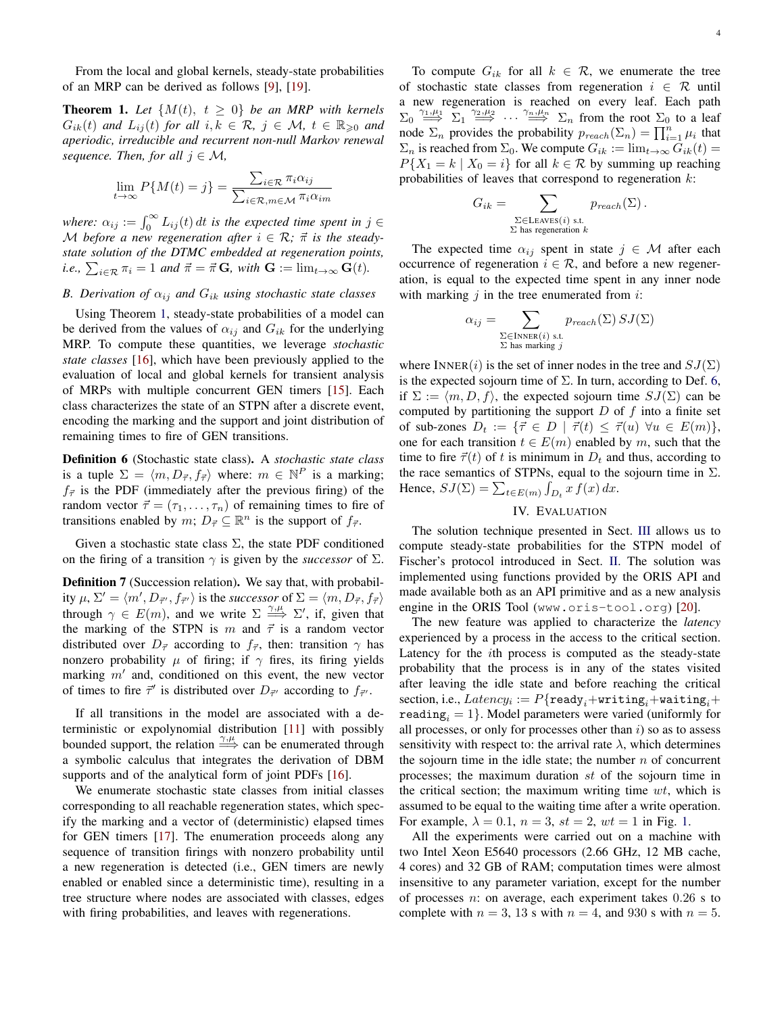From the local and global kernels, steady-state probabilities of an MRP can be derived as follows [\[9\]](#page-5-8), [\[19\]](#page-5-19).

<span id="page-3-1"></span>**Theorem 1.** Let  $\{M(t), t \geq 0\}$  be an MRP with kernels  $G_{ik}(t)$  and  $L_{ij}(t)$  for all  $i, k \in \mathcal{R}, j \in \mathcal{M}, t \in \mathbb{R}_{\geqslant 0}$  and *aperiodic, irreducible and recurrent non-null Markov renewal sequence. Then, for all*  $j \in M$ *,* 

$$
\lim_{t \to \infty} P\{M(t) = j\} = \frac{\sum_{i \in \mathcal{R}} \pi_i \alpha_{ij}}{\sum_{i \in \mathcal{R}, m \in \mathcal{M}} \pi_i \alpha_{im}}
$$

where:  $\alpha_{ij} := \int_0^\infty L_{ij}(t) dt$  is the expected time spent in  $j \in$ M before a new regeneration after  $i \in \mathcal{R}$ ;  $\vec{\pi}$  is the steady*state solution of the DTMC embedded at regeneration points, i.e.,*  $\sum_{i \in \mathcal{R}} \pi_i = 1$  *and*  $\vec{\pi} = \vec{\pi} \mathbf{G}$ *, with*  $\mathbf{G} := \lim_{t \to \infty} \mathbf{G}(t)$ *.* 

# *B. Derivation of*  $\alpha_{ij}$  *and*  $G_{ik}$  *using stochastic state classes*

Using Theorem [1,](#page-3-1) steady-state probabilities of a model can be derived from the values of  $\alpha_{ij}$  and  $G_{ik}$  for the underlying MRP. To compute these quantities, we leverage *stochastic state classes* [\[16\]](#page-5-15), which have been previously applied to the evaluation of local and global kernels for transient analysis of MRPs with multiple concurrent GEN timers [\[15\]](#page-5-14). Each class characterizes the state of an STPN after a discrete event, encoding the marking and the support and joint distribution of remaining times to fire of GEN transitions.

<span id="page-3-2"></span>Definition 6 (Stochastic state class). A *stochastic state class* is a tuple  $\Sigma = \langle m, D_{\vec{\tau}}, f_{\vec{\tau}} \rangle$  where:  $m \in \mathbb{N}^P$  is a marking;  $f_{\vec{\tau}}$  is the PDF (immediately after the previous firing) of the random vector  $\vec{\tau} = (\tau_1, \dots, \tau_n)$  of remaining times to fire of transitions enabled by  $m; D_{\vec{\tau}} \subseteq \mathbb{R}^n$  is the support of  $f_{\vec{\tau}}$ .

Given a stochastic state class  $\Sigma$ , the state PDF conditioned on the firing of a transition  $\gamma$  is given by the *successor* of  $\Sigma$ .

Definition 7 (Succession relation). We say that, with probability  $\mu$ ,  $\Sigma' = \langle m', D_{\vec{\tau}'}, f_{\vec{\tau}'} \rangle$  is the *successor* of  $\Sigma = \langle m, D_{\vec{\tau}}, f_{\vec{\tau}} \rangle$ through  $\gamma \in E(m)$ , and we write  $\Sigma \stackrel{\gamma,\mu}{\Longrightarrow} \Sigma'$ , if, given that the marking of the STPN is m and  $\vec{\tau}$  is a random vector distributed over  $D_{\vec{\tau}}$  according to  $f_{\vec{\tau}}$ , then: transition  $\gamma$  has nonzero probability  $\mu$  of firing; if  $\gamma$  fires, its firing yields marking  $m'$  and, conditioned on this event, the new vector of times to fire  $\vec{\tau}'$  is distributed over  $D_{\vec{\tau}'}$  according to  $f_{\vec{\tau}'}$ .

If all transitions in the model are associated with a deterministic or expolynomial distribution [\[11\]](#page-5-10) with possibly bounded support, the relation  $\frac{\gamma,\mu}{\longrightarrow}$  can be enumerated through a symbolic calculus that integrates the derivation of DBM supports and of the analytical form of joint PDFs [\[16\]](#page-5-15).

We enumerate stochastic state classes from initial classes corresponding to all reachable regeneration states, which specify the marking and a vector of (deterministic) elapsed times for GEN timers [\[17\]](#page-5-16). The enumeration proceeds along any sequence of transition firings with nonzero probability until a new regeneration is detected (i.e., GEN timers are newly enabled or enabled since a deterministic time), resulting in a tree structure where nodes are associated with classes, edges with firing probabilities, and leaves with regenerations.

To compute  $G_{ik}$  for all  $k \in \mathcal{R}$ , we enumerate the tree of stochastic state classes from regeneration  $i \in \mathcal{R}$  until a new regeneration is reached on every leaf. Each path  $\Sigma_0 \stackrel{\gamma_1,\mu_1}{\Longrightarrow} \Sigma_1 \stackrel{\gamma_2,\mu_2}{\Longrightarrow} \cdots \stackrel{\gamma_n,\mu_n}{\Longrightarrow} \Sigma_n$  from the root  $\Sigma_0$  to a leaf node  $\Sigma_n$  provides the probability  $p_{reach}(\Sigma_n) = \prod_{i=1}^n \mu_i$  that  $\Sigma_n$  is reached from  $\Sigma_0$ . We compute  $G_{ik} := \lim_{t \to \infty} G_{ik}(t) =$  $P{X_1 = k | X_0 = i}$  for all  $k \in \mathcal{R}$  by summing up reaching probabilities of leaves that correspond to regeneration  $k$ :

$$
G_{ik} = \sum_{\substack{\Sigma \in \text{LEaves}(i) \text{ s.t.} \\ \Sigma \text{ has regeneration } k}} p_{reach}(\Sigma).
$$

The expected time  $\alpha_{ij}$  spent in state  $j \in \mathcal{M}$  after each occurrence of regeneration  $i \in \mathcal{R}$ , and before a new regeneration, is equal to the expected time spent in any inner node with marking  $j$  in the tree enumerated from  $i$ :

$$
\alpha_{ij} = \sum_{\substack{\Sigma \in \text{INNER}(i) \text{ s.t.} \\ \Sigma \text{ has marking } j}} p_{reach}(\Sigma) SJ(\Sigma)
$$

where INNER(i) is the set of inner nodes in the tree and  $SJ(\Sigma)$ is the expected sojourn time of  $\Sigma$ . In turn, according to Def. [6,](#page-3-2) if  $\Sigma := \langle m, D, f \rangle$ , the expected sojourn time  $SJ(\Sigma)$  can be computed by partitioning the support  $D$  of  $f$  into a finite set of sub-zones  $D_t := \{ \vec{\tau} \in D \mid \vec{\tau}(t) \leq \vec{\tau}(u) \,\forall u \in E(m) \},\$ one for each transition  $t \in E(m)$  enabled by m, such that the time to fire  $\vec{\tau}(t)$  of t is minimum in  $D_t$  and thus, according to the race semantics of STPNs, equal to the sojourn time in  $\Sigma$ . Hence,  $SJ(\Sigma) = \sum_{t \in E(m)} \int_{D_t} x f(x) dx$ .

## IV. EVALUATION

<span id="page-3-0"></span>The solution technique presented in Sect. [III](#page-2-0) allows us to compute steady-state probabilities for the STPN model of Fischer's protocol introduced in Sect. [II.](#page-1-0) The solution was implemented using functions provided by the ORIS API and made available both as an API primitive and as a new analysis engine in the ORIS Tool (www.oris-tool.org) [\[20\]](#page-5-20).

The new feature was applied to characterize the *latency* experienced by a process in the access to the critical section. Latency for the ith process is computed as the steady-state probability that the process is in any of the states visited after leaving the idle state and before reaching the critical  ${\rm section, \,i.e.,} \, Latency_i := P\{{\tt ready}_i + \mathtt{writing}_i + \mathtt{waiting}_i + \mathtt{$ reading<sub>i</sub> = 1. Model parameters were varied (uniformly for all processes, or only for processes other than  $i$ ) so as to assess sensitivity with respect to: the arrival rate  $\lambda$ , which determines the sojourn time in the idle state; the number  $n$  of concurrent processes; the maximum duration st of the sojourn time in the critical section; the maximum writing time  $wt$ , which is assumed to be equal to the waiting time after a write operation. For example,  $\lambda = 0.1$ ,  $n = 3$ ,  $st = 2$ ,  $wt = 1$  in Fig. [1.](#page-2-1)

All the experiments were carried out on a machine with two Intel Xeon E5640 processors (2.66 GHz, 12 MB cache, 4 cores) and 32 GB of RAM; computation times were almost insensitive to any parameter variation, except for the number of processes  $n$ : on average, each experiment takes  $0.26$  s to complete with  $n = 3$ , 13 s with  $n = 4$ , and 930 s with  $n = 5$ .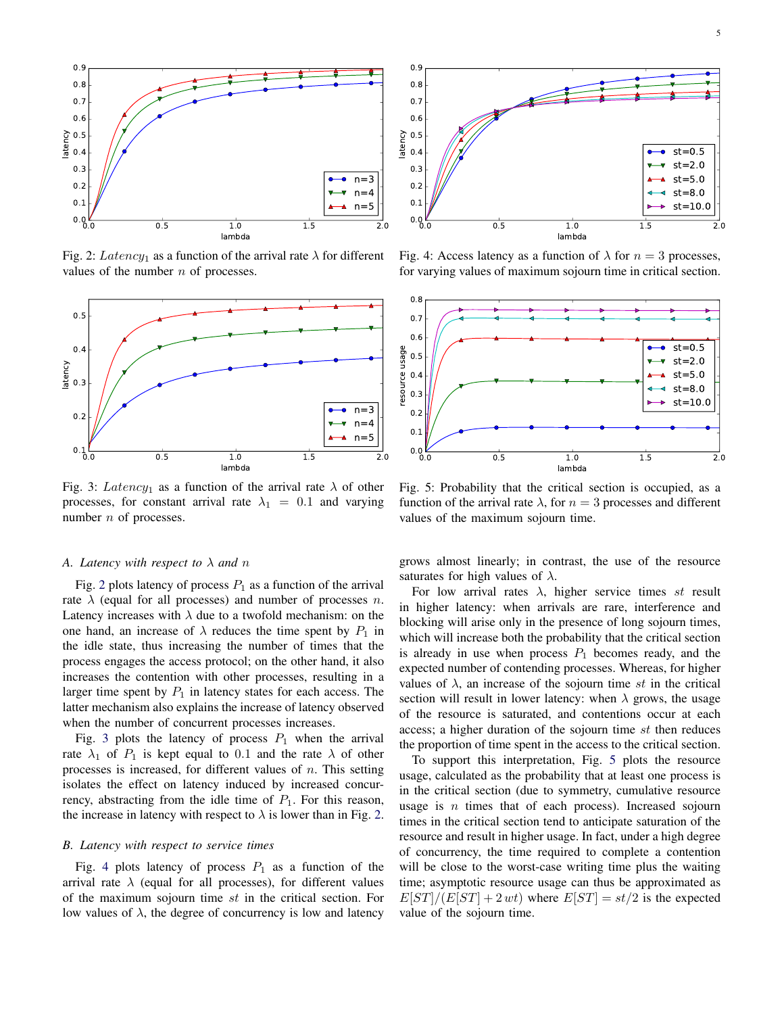<span id="page-4-0"></span>

Fig. 2: Latency<sub>1</sub> as a function of the arrival rate  $\lambda$  for different values of the number  $n$  of processes.

<span id="page-4-1"></span>

Fig. 3: Latency<sub>1</sub> as a function of the arrival rate  $\lambda$  of other processes, for constant arrival rate  $\lambda_1 = 0.1$  and varying number  $n$  of processes.

## *A. Latency with respect to* λ *and* n

Fig. [2](#page-4-0) plots latency of process  $P_1$  as a function of the arrival rate  $\lambda$  (equal for all processes) and number of processes n. Latency increases with  $\lambda$  due to a twofold mechanism: on the one hand, an increase of  $\lambda$  reduces the time spent by  $P_1$  in the idle state, thus increasing the number of times that the process engages the access protocol; on the other hand, it also increases the contention with other processes, resulting in a larger time spent by  $P_1$  in latency states for each access. The latter mechanism also explains the increase of latency observed when the number of concurrent processes increases.

Fig. [3](#page-4-1) plots the latency of process  $P_1$  when the arrival rate  $\lambda_1$  of  $P_1$  is kept equal to 0.1 and the rate  $\lambda$  of other processes is increased, for different values of  $n$ . This setting isolates the effect on latency induced by increased concurrency, abstracting from the idle time of  $P_1$ . For this reason, the increase in latency with respect to  $\lambda$  is lower than in Fig. [2.](#page-4-0)

## *B. Latency with respect to service times*

Fig. [4](#page-4-2) plots latency of process  $P_1$  as a function of the arrival rate  $\lambda$  (equal for all processes), for different values of the maximum sojourn time st in the critical section. For low values of  $λ$ , the degree of concurrency is low and latency

<span id="page-4-2"></span>

Fig. 4: Access latency as a function of  $\lambda$  for  $n = 3$  processes, for varying values of maximum sojourn time in critical section.

<span id="page-4-3"></span>

Fig. 5: Probability that the critical section is occupied, as a function of the arrival rate  $\lambda$ , for  $n = 3$  processes and different values of the maximum sojourn time.

grows almost linearly; in contrast, the use of the resource saturates for high values of  $\lambda$ .

For low arrival rates  $\lambda$ , higher service times st result in higher latency: when arrivals are rare, interference and blocking will arise only in the presence of long sojourn times, which will increase both the probability that the critical section is already in use when process  $P_1$  becomes ready, and the expected number of contending processes. Whereas, for higher values of  $\lambda$ , an increase of the sojourn time st in the critical section will result in lower latency: when  $\lambda$  grows, the usage of the resource is saturated, and contentions occur at each access; a higher duration of the sojourn time st then reduces the proportion of time spent in the access to the critical section.

To support this interpretation, Fig. [5](#page-4-3) plots the resource usage, calculated as the probability that at least one process is in the critical section (due to symmetry, cumulative resource usage is  $n$  times that of each process). Increased sojourn times in the critical section tend to anticipate saturation of the resource and result in higher usage. In fact, under a high degree of concurrency, the time required to complete a contention will be close to the worst-case writing time plus the waiting time; asymptotic resource usage can thus be approximated as  $E[ST]/(E[ST] + 2 wt)$  where  $E[ST] = st/2$  is the expected value of the sojourn time.